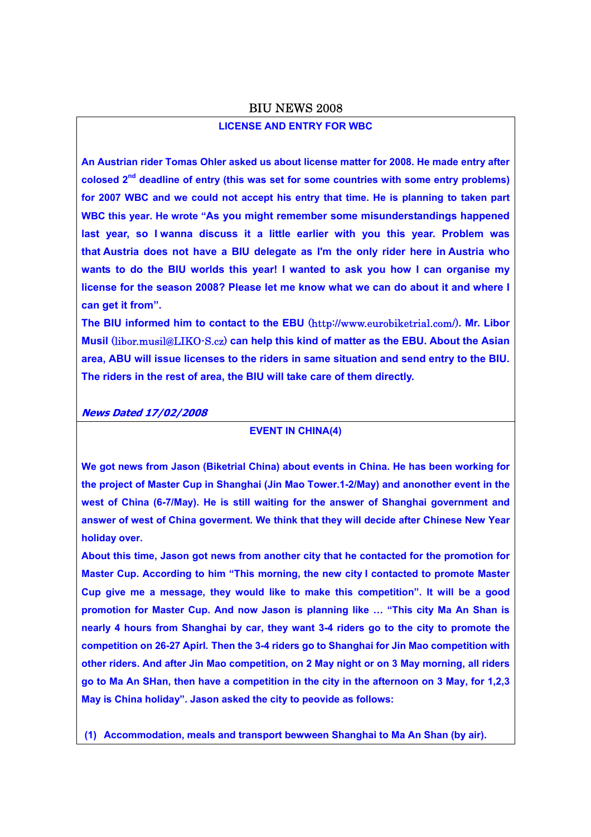#### BIU NEWS 2008

# **LICENSE AND ENTRY FOR WBC**

**An Austrian rider Tomas Ohler asked us about license matter for 2008. He made entry after colosed 2nd deadline of entry (this was set for some countries with some entry problems) for 2007 WBC and we could not accept his entry that time. He is planning to taken part WBC this year. He wrote "As you might remember some misunderstandings happened last year, so I wanna discuss it a little earlier with you this year. Problem was that Austria does not have a BIU delegate as I'm the only rider here in Austria who wants to do the BIU worlds this year! I wanted to ask you how I can organise my license for the season 2008? Please let me know what we can do about it and where I can get it from".** 

**The BIU informed him to contact to the EBU** (http://www.eurobiketrial.com/)**. Mr. Libor Musil** (libor.musil@LIKO-S.cz) **can help this kind of matter as the EBU. About the Asian area, ABU will issue licenses to the riders in same situation and send entry to the BIU. The riders in the rest of area, the BIU will take care of them directly.**

**News Dated 17/02/2008**

## **EVENT IN CHINA(4)**

**We got news from Jason (Biketrial China) about events in China. He has been working for the project of Master Cup in Shanghai (Jin Mao Tower.1-2/May) and anonother event in the west of China (6-7/May). He is still waiting for the answer of Shanghai government and answer of west of China goverment. We think that they will decide after Chinese New Year holiday over.** 

**About this time, Jason got news from another city that he contacted for the promotion for Master Cup. According to him "This morning, the new city I contacted to promote Master Cup give me a message, they would like to make this competition". It will be a good promotion for Master Cup. And now Jason is planning like … "This city Ma An Shan is nearly 4 hours from Shanghai by car, they want 3-4 riders go to the city to promote the competition on 26-27 Apirl. Then the 3-4 riders go to Shanghai for Jin Mao competition with other riders. And after Jin Mao competition, on 2 May night or on 3 May morning, all riders go to Ma An SHan, then have a competition in the city in the afternoon on 3 May, for 1,2,3 May is China holiday". Jason asked the city to peovide as follows:** 

**(1) Accommodation, meals and transport bewween Shanghai to Ma An Shan (by air).**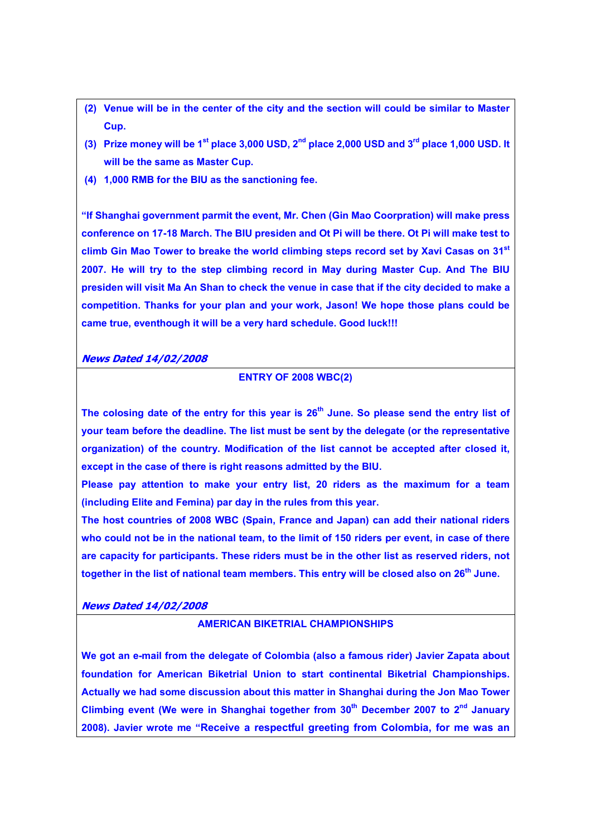- **(2) Venue will be in the center of the city and the section will could be similar to Master Cup.**
- **(3) Prize money will be 1st place 3,000 USD, 2nd place 2,000 USD and 3rd place 1,000 USD. It will be the same as Master Cup.**
- **(4) 1,000 RMB for the BIU as the sanctioning fee.**

**"If Shanghai government parmit the event, Mr. Chen (Gin Mao Coorpration) will make press conference on 17-18 March. The BIU presiden and Ot Pi will be there. Ot Pi will make test to climb Gin Mao Tower to breake the world climbing steps record set by Xavi Casas on 31st 2007. He will try to the step climbing record in May during Master Cup. And The BIU presiden will visit Ma An Shan to check the venue in case that if the city decided to make a competition. Thanks for your plan and your work, Jason! We hope those plans could be came true, eventhough it will be a very hard schedule. Good luck!!!** 

## **News Dated 14/02/2008**

### **ENTRY OF 2008 WBC(2)**

The colosing date of the entry for this year is 26<sup>th</sup> June. So please send the entry list of **your team before the deadline. The list must be sent by the delegate (or the representative organization) of the country. Modification of the list cannot be accepted after closed it, except in the case of there is right reasons admitted by the BIU.** 

**Please pay attention to make your entry list, 20 riders as the maximum for a team (including Elite and Femina) par day in the rules from this year.** 

**The host countries of 2008 WBC (Spain, France and Japan) can add their national riders who could not be in the national team, to the limit of 150 riders per event, in case of there are capacity for participants. These riders must be in the other list as reserved riders, not together in the list of national team members. This entry will be closed also on 26th June.** 

**News Dated 14/02/2008**

# **AMERICAN BIKETRIAL CHAMPIONSHIPS**

**We got an e-mail from the delegate of Colombia (also a famous rider) Javier Zapata about foundation for American Biketrial Union to start continental Biketrial Championships. Actually we had some discussion about this matter in Shanghai during the Jon Mao Tower**  Climbing event (We were in Shanghai together from 30<sup>th</sup> December 2007 to 2<sup>nd</sup> January **2008). Javier wrote me "Receive a respectful greeting from Colombia, for me was an**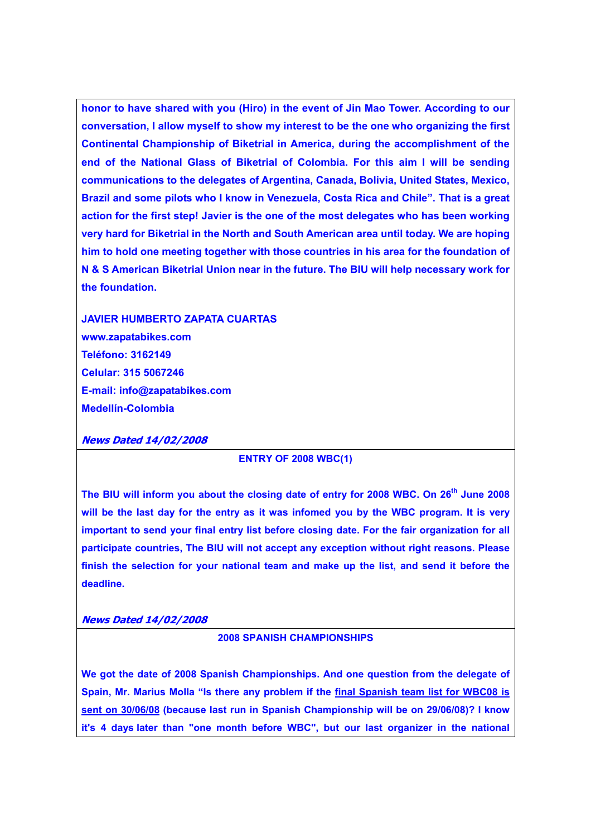**honor to have shared with you (Hiro) in the event of Jin Mao Tower. According to our conversation, I allow myself to show my interest to be the one who organizing the first Continental Championship of Biketrial in America, during the accomplishment of the end of the National Glass of Biketrial of Colombia. For this aim I will be sending communications to the delegates of Argentina, Canada, Bolivia, United States, Mexico, Brazil and some pilots who I know in Venezuela, Costa Rica and Chile". That is a great action for the first step! Javier is the one of the most delegates who has been working very hard for Biketrial in the North and South American area until today. We are hoping him to hold one meeting together with those countries in his area for the foundation of N & S American Biketrial Union near in the future. The BIU will help necessary work for the foundation.** 

**JAVIER HUMBERTO ZAPATA CUARTAS www.zapatabikes.com Teléfono: 3162149 Celular: 315 5067246 E-mail: info@zapatabikes.com Medellín-Colombia** 

#### **News Dated 14/02/2008**

### **ENTRY OF 2008 WBC(1)**

The BIU will inform you about the closing date of entry for 2008 WBC. On 26<sup>th</sup> June 2008 **will be the last day for the entry as it was infomed you by the WBC program. It is very important to send your final entry list before closing date. For the fair organization for all participate countries, The BIU will not accept any exception without right reasons. Please finish the selection for your national team and make up the list, and send it before the deadline.** 

#### **News Dated 14/02/2008**

# **2008 SPANISH CHAMPIONSHIPS**

**We got the date of 2008 Spanish Championships. And one question from the delegate of Spain, Mr. Marius Molla "Is there any problem if the final Spanish team list for WBC08 is sent on 30/06/08 (because last run in Spanish Championship will be on 29/06/08)? I know it's 4 days later than "one month before WBC", but our last organizer in the national**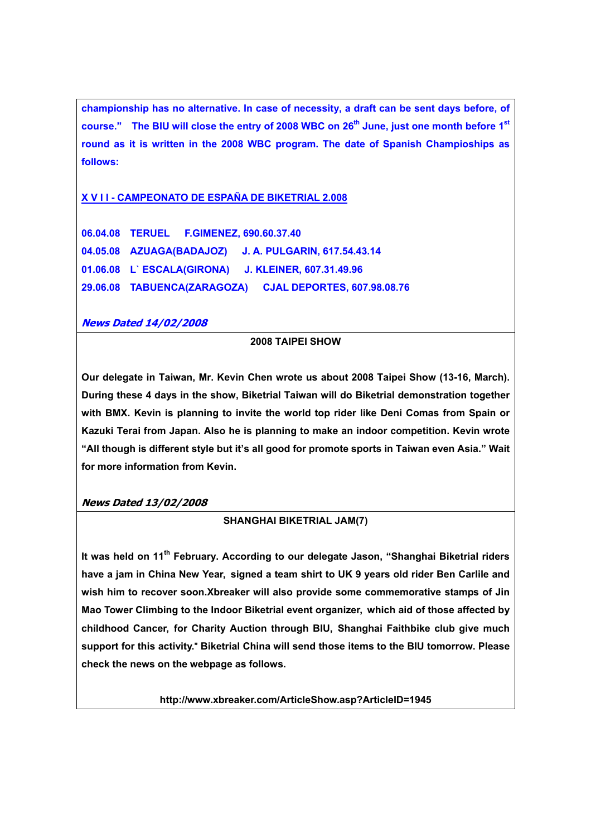**championship has no alternative. In case of necessity, a draft can be sent days before, of**  course." The BIU will close the entry of 2008 WBC on 26<sup>th</sup> June, just one month before 1<sup>st</sup> **round as it is written in the 2008 WBC program. The date of Spanish Champioships as follows:** 

# **X V I I - CAMPEONATO DE ESPAÑA DE BIKETRIAL 2.008**

**06.04.08 TERUEL F.GIMENEZ, 690.60.37.40 04.05.08 AZUAGA(BADAJOZ) J. A. PULGARIN, 617.54.43.14 01.06.08 L` ESCALA(GIRONA) J. KLEINER, 607.31.49.96 29.06.08 TABUENCA(ZARAGOZA) CJAL DEPORTES, 607.98.08.76** 

# **News Dated 14/02/2008**

# **2008 TAIPEI SHOW**

**Our delegate in Taiwan, Mr. Kevin Chen wrote us about 2008 Taipei Show (13-16, March). During these 4 days in the show, Biketrial Taiwan will do Biketrial demonstration together with BMX. Kevin is planning to invite the world top rider like Deni Comas from Spain or Kazuki Terai from Japan. Also he is planning to make an indoor competition. Kevin wrote "All though is different style but it's all good for promote sports in Taiwan even Asia." Wait for more information from Kevin.** 

# **News Dated 13/02/2008**

## **SHANGHAI BIKETRIAL JAM(7)**

It was held on 11<sup>th</sup> February. According to our delegate Jason, "Shanghai Biketrial riders **have a jam in China New Year, signed a team shirt to UK 9 years old rider Ben Carlile and wish him to recover soon.Xbreaker will also provide some commemorative stamps of Jin Mao Tower Climbing to the Indoor Biketrial event organizer, which aid of those affected by childhood Cancer, for Charity Auction through BIU, Shanghai Faithbike club give much support for this activity.**" **Biketrial China will send those items to the BIU tomorrow. Please check the news on the webpage as follows.** 

**http://www.xbreaker.com/ArticleShow.asp?ArticleID=1945**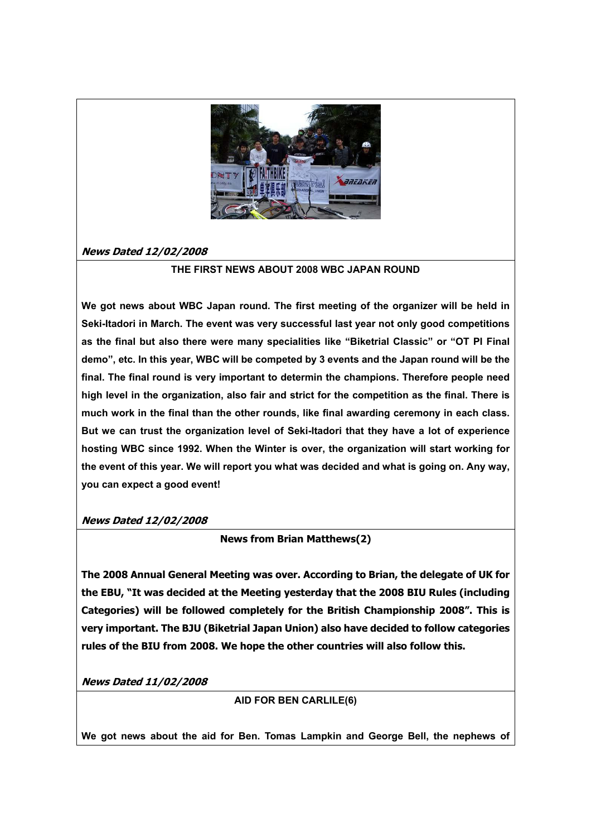

# **News Dated 12/02/2008**

# **THE FIRST NEWS ABOUT 2008 WBC JAPAN ROUND**

**We got news about WBC Japan round. The first meeting of the organizer will be held in Seki-Itadori in March. The event was very successful last year not only good competitions as the final but also there were many specialities like "Biketrial Classic" or "OT PI Final demo", etc. In this year, WBC will be competed by 3 events and the Japan round will be the final. The final round is very important to determin the champions. Therefore people need high level in the organization, also fair and strict for the competition as the final. There is much work in the final than the other rounds, like final awarding ceremony in each class. But we can trust the organization level of Seki-Itadori that they have a lot of experience hosting WBC since 1992. When the Winter is over, the organization will start working for the event of this year. We will report you what was decided and what is going on. Any way, you can expect a good event!** 

## **News Dated 12/02/2008**

## **News from Brian Matthews(2)**

**The 2008 Annual General Meeting was over. According to Brian, the delegate of UK for the EBU, "It was decided at the Meeting yesterday that the 2008 BIU Rules (including Categories) will be followed completely for the British Championship 2008". This is very important. The BJU (Biketrial Japan Union) also have decided to follow categories rules of the BIU from 2008. We hope the other countries will also follow this.** 

**News Dated 11/02/2008**

**AID FOR BEN CARLILE(6)**

**We got news about the aid for Ben. Tomas Lampkin and George Bell, the nephews of**